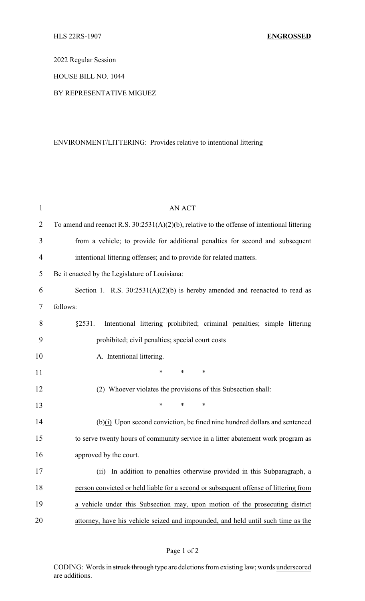2022 Regular Session

HOUSE BILL NO. 1044

## BY REPRESENTATIVE MIGUEZ

## ENVIRONMENT/LITTERING: Provides relative to intentional littering

| $\mathbf{1}$   | <b>AN ACT</b>                                                                                   |  |  |
|----------------|-------------------------------------------------------------------------------------------------|--|--|
| $\overline{2}$ | To amend and reenact R.S. $30:2531(A)(2)(b)$ , relative to the offense of intentional littering |  |  |
| 3              | from a vehicle; to provide for additional penalties for second and subsequent                   |  |  |
| $\overline{4}$ | intentional littering offenses; and to provide for related matters.                             |  |  |
| 5              | Be it enacted by the Legislature of Louisiana:                                                  |  |  |
| 6              | Section 1. R.S. $30:2531(A)(2)(b)$ is hereby amended and reenacted to read as                   |  |  |
| 7              | follows:                                                                                        |  |  |
| 8              | §2531.<br>Intentional littering prohibited; criminal penalties; simple littering                |  |  |
| 9              | prohibited; civil penalties; special court costs                                                |  |  |
| 10             | A. Intentional littering.                                                                       |  |  |
| 11             | *<br>$\ast$<br>$\ast$                                                                           |  |  |
| 12             | (2) Whoever violates the provisions of this Subsection shall:                                   |  |  |
| 13             | $\ast$<br>$\ast$<br>*                                                                           |  |  |
| 14             | $(b)(i)$ Upon second conviction, be fined nine hundred dollars and sentenced                    |  |  |
| 15             | to serve twenty hours of community service in a litter abatement work program as                |  |  |
| 16             | approved by the court.                                                                          |  |  |
| 17             | (ii) In addition to penalties otherwise provided in this Subparagraph, a                        |  |  |
| 18             | person convicted or held liable for a second or subsequent offense of littering from            |  |  |
| 19             | a vehicle under this Subsection may, upon motion of the prosecuting district                    |  |  |
| 20             | attorney, have his vehicle seized and impounded, and held until such time as the                |  |  |

CODING: Words in struck through type are deletions from existing law; words underscored are additions.